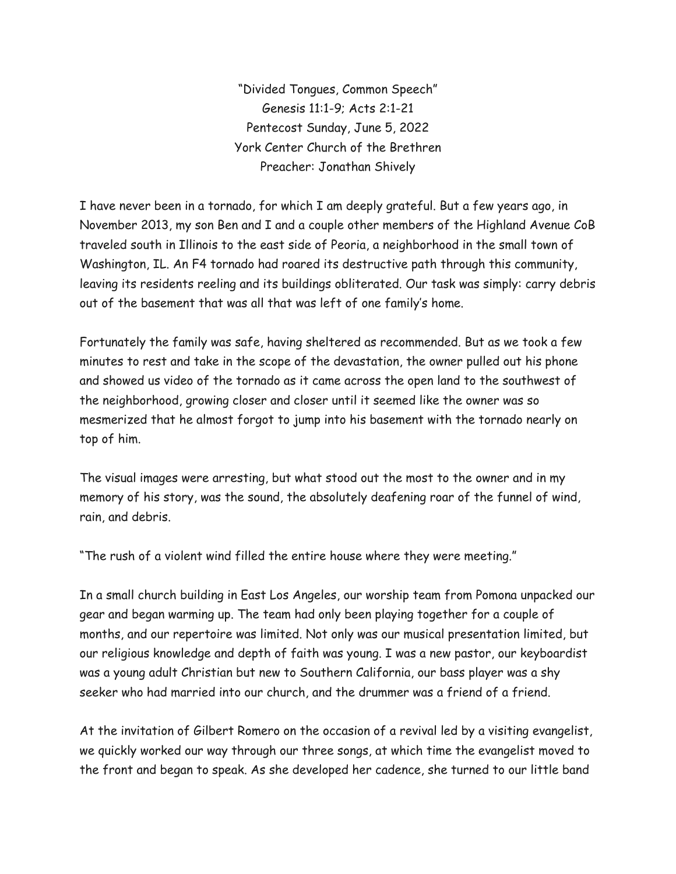"Divided Tongues, Common Speech" Genesis 11:1-9; Acts 2:1-21 Pentecost Sunday, June 5, 2022 York Center Church of the Brethren Preacher: Jonathan Shively

I have never been in a tornado, for which I am deeply grateful. But a few years ago, in November 2013, my son Ben and I and a couple other members of the Highland Avenue CoB traveled south in Illinois to the east side of Peoria, a neighborhood in the small town of Washington, IL. An F4 tornado had roared its destructive path through this community, leaving its residents reeling and its buildings obliterated. Our task was simply: carry debris out of the basement that was all that was left of one family's home.

Fortunately the family was safe, having sheltered as recommended. But as we took a few minutes to rest and take in the scope of the devastation, the owner pulled out his phone and showed us video of the tornado as it came across the open land to the southwest of the neighborhood, growing closer and closer until it seemed like the owner was so mesmerized that he almost forgot to jump into his basement with the tornado nearly on top of him.

The visual images were arresting, but what stood out the most to the owner and in my memory of his story, was the sound, the absolutely deafening roar of the funnel of wind, rain, and debris.

"The rush of a violent wind filled the entire house where they were meeting."

In a small church building in East Los Angeles, our worship team from Pomona unpacked our gear and began warming up. The team had only been playing together for a couple of months, and our repertoire was limited. Not only was our musical presentation limited, but our religious knowledge and depth of faith was young. I was a new pastor, our keyboardist was a young adult Christian but new to Southern California, our bass player was a shy seeker who had married into our church, and the drummer was a friend of a friend.

At the invitation of Gilbert Romero on the occasion of a revival led by a visiting evangelist, we quickly worked our way through our three songs, at which time the evangelist moved to the front and began to speak. As she developed her cadence, she turned to our little band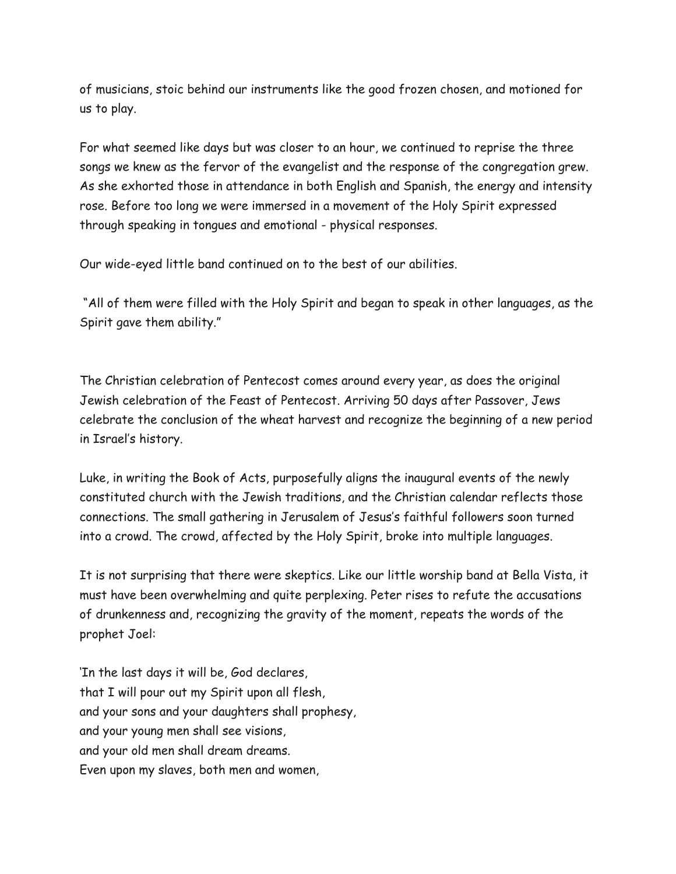of musicians, stoic behind our instruments like the good frozen chosen, and motioned for us to play.

For what seemed like days but was closer to an hour, we continued to reprise the three songs we knew as the fervor of the evangelist and the response of the congregation grew. As she exhorted those in attendance in both English and Spanish, the energy and intensity rose. Before too long we were immersed in a movement of the Holy Spirit expressed through speaking in tongues and emotional - physical responses.

Our wide-eyed little band continued on to the best of our abilities.

"All of them were filled with the Holy Spirit and began to speak in other languages, as the Spirit gave them ability."

The Christian celebration of Pentecost comes around every year, as does the original Jewish celebration of the Feast of Pentecost. Arriving 50 days after Passover, Jews celebrate the conclusion of the wheat harvest and recognize the beginning of a new period in Israel's history.

Luke, in writing the Book of Acts, purposefully aligns the inaugural events of the newly constituted church with the Jewish traditions, and the Christian calendar reflects those connections. The small gathering in Jerusalem of Jesus's faithful followers soon turned into a crowd. The crowd, affected by the Holy Spirit, broke into multiple languages.

It is not surprising that there were skeptics. Like our little worship band at Bella Vista, it must have been overwhelming and quite perplexing. Peter rises to refute the accusations of drunkenness and, recognizing the gravity of the moment, repeats the words of the prophet Joel:

'In the last days it will be, God declares, that I will pour out my Spirit upon all flesh, and your sons and your daughters shall prophesy, and your young men shall see visions, and your old men shall dream dreams. Even upon my slaves, both men and women,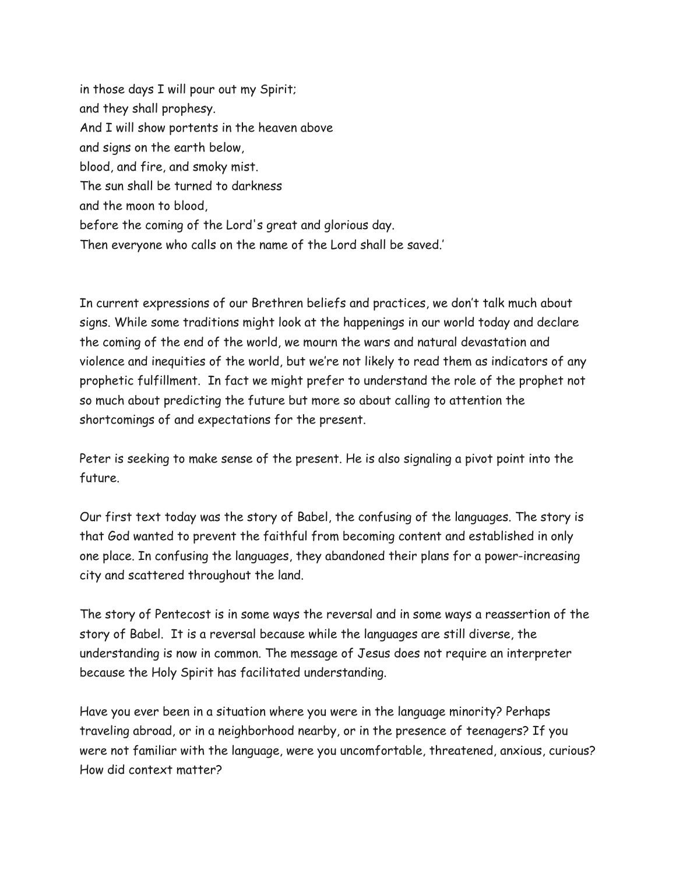in those days I will pour out my Spirit; and they shall prophesy. And I will show portents in the heaven above and signs on the earth below, blood, and fire, and smoky mist. The sun shall be turned to darkness and the moon to blood, before the coming of the Lord's great and glorious day. Then everyone who calls on the name of the Lord shall be saved.'

In current expressions of our Brethren beliefs and practices, we don't talk much about signs. While some traditions might look at the happenings in our world today and declare the coming of the end of the world, we mourn the wars and natural devastation and violence and inequities of the world, but we're not likely to read them as indicators of any prophetic fulfillment. In fact we might prefer to understand the role of the prophet not so much about predicting the future but more so about calling to attention the shortcomings of and expectations for the present.

Peter is seeking to make sense of the present. He is also signaling a pivot point into the future.

Our first text today was the story of Babel, the confusing of the languages. The story is that God wanted to prevent the faithful from becoming content and established in only one place. In confusing the languages, they abandoned their plans for a power-increasing city and scattered throughout the land.

The story of Pentecost is in some ways the reversal and in some ways a reassertion of the story of Babel. It is a reversal because while the languages are still diverse, the understanding is now in common. The message of Jesus does not require an interpreter because the Holy Spirit has facilitated understanding.

Have you ever been in a situation where you were in the language minority? Perhaps traveling abroad, or in a neighborhood nearby, or in the presence of teenagers? If you were not familiar with the language, were you uncomfortable, threatened, anxious, curious? How did context matter?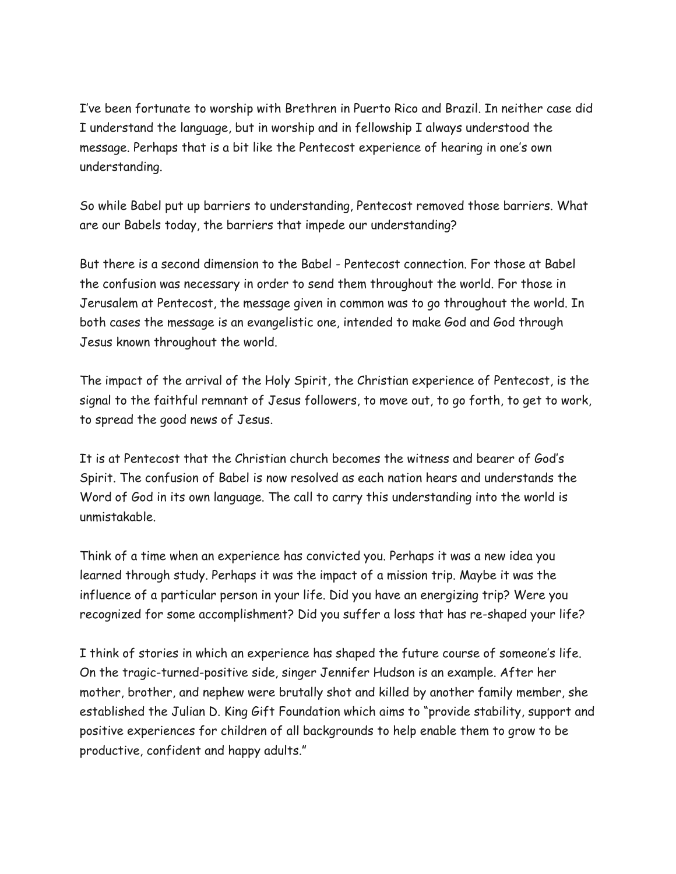I've been fortunate to worship with Brethren in Puerto Rico and Brazil. In neither case did I understand the language, but in worship and in fellowship I always understood the message. Perhaps that is a bit like the Pentecost experience of hearing in one's own understanding.

So while Babel put up barriers to understanding, Pentecost removed those barriers. What are our Babels today, the barriers that impede our understanding?

But there is a second dimension to the Babel - Pentecost connection. For those at Babel the confusion was necessary in order to send them throughout the world. For those in Jerusalem at Pentecost, the message given in common was to go throughout the world. In both cases the message is an evangelistic one, intended to make God and God through Jesus known throughout the world.

The impact of the arrival of the Holy Spirit, the Christian experience of Pentecost, is the signal to the faithful remnant of Jesus followers, to move out, to go forth, to get to work, to spread the good news of Jesus.

It is at Pentecost that the Christian church becomes the witness and bearer of God's Spirit. The confusion of Babel is now resolved as each nation hears and understands the Word of God in its own language. The call to carry this understanding into the world is unmistakable.

Think of a time when an experience has convicted you. Perhaps it was a new idea you learned through study. Perhaps it was the impact of a mission trip. Maybe it was the influence of a particular person in your life. Did you have an energizing trip? Were you recognized for some accomplishment? Did you suffer a loss that has re-shaped your life?

I think of stories in which an experience has shaped the future course of someone's life. On the tragic-turned-positive side, singer Jennifer Hudson is an example. After her mother, brother, and nephew were brutally shot and killed by another family member, she established the Julian D. King Gift Foundation which aims to "provide stability, support and positive experiences for children of all backgrounds to help enable them to grow to be productive, confident and happy adults."